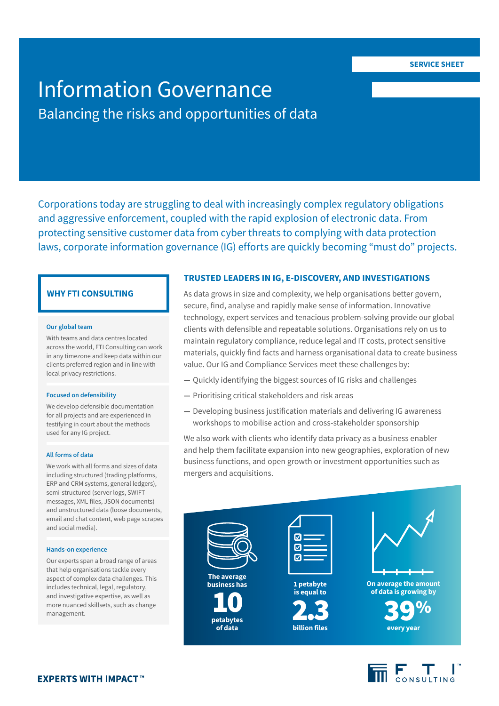# Information Governance Balancing the risks and opportunities of data

Corporations today are struggling to deal with increasingly complex regulatory obligations and aggressive enforcement, coupled with the rapid explosion of electronic data. From protecting sensitive customer data from cyber threats to complying with data protection laws, corporate information governance (IG) efforts are quickly becoming "must do" projects.

# **WHY FTI CONSULTING**

#### **Our global team**

With teams and data centres located across the world, FTI Consulting can work in any timezone and keep data within our clients preferred region and in line with local privacy restrictions.

### **Focused on defensibility**

We develop defensible documentation for all projects and are experienced in testifying in court about the methods used for any IG project.

## **All forms of data**

We work with all forms and sizes of data including structured (trading platforms, ERP and CRM systems, general ledgers), semi-structured (server logs, SWIFT messages, XML files, JSON documents) and unstructured data (loose documents, email and chat content, web page scrapes and social media).

#### **Hands-on experience**

Our experts span a broad range of areas that help organisations tackle every aspect of complex data challenges. This includes technical, legal, regulatory, and investigative expertise, as well as more nuanced skillsets, such as change includes technical, legal, regulatory,<br>and investigative expertise, as well as<br>more nuanced skillsets, such as change<br>management.

## **TRUSTED LEADERS IN IG, E-DISCOVERY, AND INVESTIGATIONS**

As data grows in size and complexity, we help organisations better govern, secure, find, analyse and rapidly make sense of information. Innovative technology, expert services and tenacious problem-solving provide our global clients with defensible and repeatable solutions. Organisations rely on us to maintain regulatory compliance, reduce legal and IT costs, protect sensitive materials, quickly find facts and harness organisational data to create business value. Our IG and Compliance Services meet these challenges by:

- **—** Quickly identifying the biggest sources of IG risks and challenges
- **—** Prioritising critical stakeholders and risk areas
- **—** Developing business justification materials and delivering IG awareness workshops to mobilise action and cross-stakeholder sponsorship

We also work with clients who identify data privacy as a business enabler and help them facilitate expansion into new geographies, exploration of new business functions, and open growth or investment opportunities such as mergers and acquisitions.